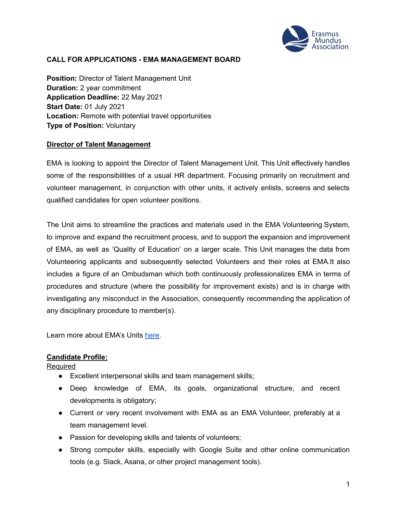

### **CALL FOR APPLICATIONS - EMA MANAGEMENT BOARD**

**Position:** Director of Talent Management Unit **Duration:** 2 year commitment **Application Deadline:** 22 May 2021 **Start Date:** 01 July 2021 **Location:** Remote with potential travel opportunities **Type of Position:** Voluntary

#### **Director of Talent Management**

EMA is looking to appoint the Director of Talent Management Unit. This Unit effectively handles some of the responsibilities of a usual HR department. Focusing primarily on recruitment and volunteer management, in conjunction with other units, it actively enlists, screens and selects qualified candidates for open volunteer positions.

The Unit aims to streamline the practices and materials used in the EMA Volunteering System, to improve and expand the recruitment process, and to support the expansion and improvement of EMA, as well as 'Quality of Education' on a larger scale. This Unit manages the data from Volunteering applicants and subsequently selected Volunteers and their roles at EMA.It also includes a figure of an Ombudsman which both continuously professionalizes EMA in terms of procedures and structure (where the possibility for improvement exists) and is in charge with investigating any misconduct in the Association, consequently recommending the application of any disciplinary procedure to member(s).

Learn more about EMA's Units [here.](https://www.em-a.eu/structure-and-history)

#### **Candidate Profile:**

**Required** 

- Excellent interpersonal skills and team management skills;
- Deep knowledge of EMA, its goals, organizational structure, and recent developments is obligatory;
- Current or very recent involvement with EMA as an EMA Volunteer, preferably at a team management level.
- Passion for developing skills and talents of volunteers;
- Strong computer skills, especially with Google Suite and other online communication tools (e.g. Slack, Asana, or other project management tools).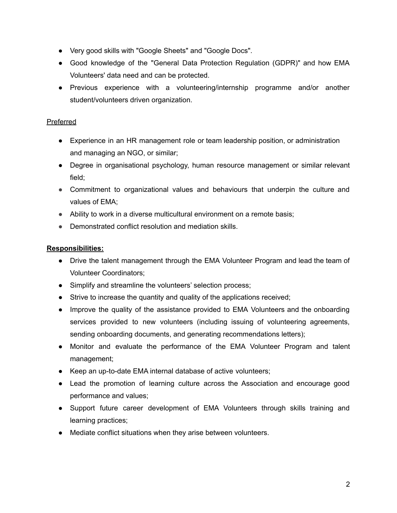- Very good skills with "Google Sheets" and "Google Docs".
- Good knowledge of the "General Data Protection Regulation (GDPR)" and how EMA Volunteers' data need and can be protected.
- Previous experience with a volunteering/internship programme and/or another student/volunteers driven organization.

## Preferred

- Experience in an HR management role or team leadership position, or administration and managing an NGO, or similar;
- Degree in organisational psychology, human resource management or similar relevant field;
- Commitment to organizational values and behaviours that underpin the culture and values of EMA;
- Ability to work in a diverse multicultural environment on a remote basis;
- Demonstrated conflict resolution and mediation skills.

# **Responsibilities:**

- Drive the talent management through the EMA Volunteer Program and lead the team of Volunteer Coordinators;
- Simplify and streamline the volunteers' selection process;
- Strive to increase the quantity and quality of the applications received;
- Improve the quality of the assistance provided to EMA Volunteers and the onboarding services provided to new volunteers (including issuing of volunteering agreements, sending onboarding documents, and generating recommendations letters);
- Monitor and evaluate the performance of the EMA Volunteer Program and talent management;
- Keep an up-to-date EMA internal database of active volunteers;
- Lead the promotion of learning culture across the Association and encourage good performance and values;
- Support future career development of EMA Volunteers through skills training and learning practices;
- Mediate conflict situations when they arise between volunteers.